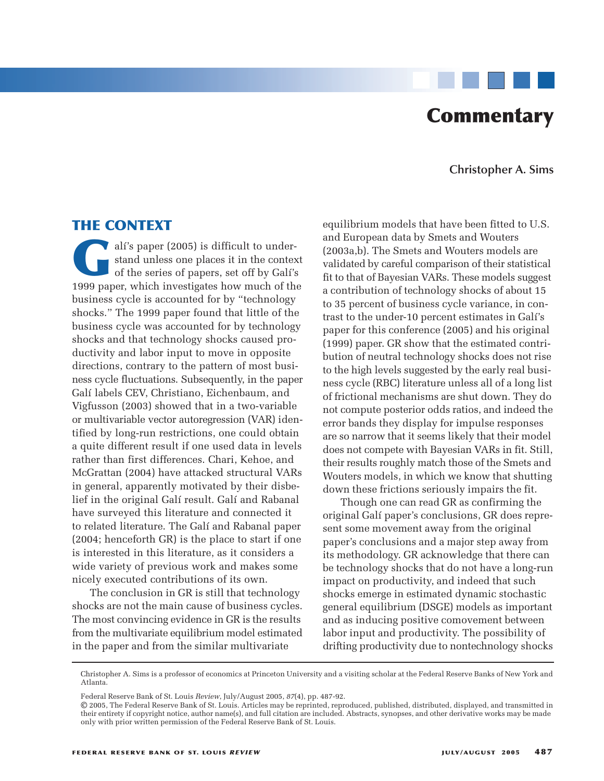# **Commentary**

**Christopher A. Sims**

# **THE CONTEXT**

alí's paper (2005) is difficult to under-<br>stand unless one places it in the contex<br>of the series of papers, set off by Galí's<br>1999 paper which investigates how much of the stand unless one places it in the context of the series of papers, set off by Galí's 1999 paper, which investigates how much of the business cycle is accounted for by "technology shocks." The 1999 paper found that little of the business cycle was accounted for by technology shocks and that technology shocks caused productivity and labor input to move in opposite directions, contrary to the pattern of most business cycle fluctuations. Subsequently, in the paper Galí labels CEV, Christiano, Eichenbaum, and Vigfusson (2003) showed that in a two-variable or multivariable vector autoregression (VAR) identified by long-run restrictions, one could obtain a quite different result if one used data in levels rather than first differences. Chari, Kehoe, and McGrattan (2004) have attacked structural VARs in general, apparently motivated by their disbelief in the original Galí result. Galí and Rabanal have surveyed this literature and connected it to related literature. The Galí and Rabanal paper (2004; henceforth GR) is the place to start if one is interested in this literature, as it considers a wide variety of previous work and makes some nicely executed contributions of its own.

The conclusion in GR is still that technology shocks are not the main cause of business cycles. The most convincing evidence in GR is the results from the multivariate equilibrium model estimated in the paper and from the similar multivariate

equilibrium models that have been fitted to U.S. and European data by Smets and Wouters (2003a,b). The Smets and Wouters models are validated by careful comparison of their statistical fit to that of Bayesian VARs. These models suggest a contribution of technology shocks of about 15 to 35 percent of business cycle variance, in contrast to the under-10 percent estimates in Galí's paper for this conference (2005) and his original (1999) paper. GR show that the estimated contribution of neutral technology shocks does not rise to the high levels suggested by the early real business cycle (RBC) literature unless all of a long list of frictional mechanisms are shut down. They do not compute posterior odds ratios, and indeed the error bands they display for impulse responses are so narrow that it seems likely that their model does not compete with Bayesian VARs in fit. Still, their results roughly match those of the Smets and Wouters models, in which we know that shutting down these frictions seriously impairs the fit.

Though one can read GR as confirming the original Galí paper's conclusions, GR does represent some movement away from the original paper's conclusions and a major step away from its methodology. GR acknowledge that there can be technology shocks that do not have a long-run impact on productivity, and indeed that such shocks emerge in estimated dynamic stochastic general equilibrium (DSGE) models as important and as inducing positive comovement between labor input and productivity. The possibility of drifting productivity due to nontechnology shocks

Christopher A. Sims is a professor of economics at Princeton University and a visiting scholar at the Federal Reserve Banks of New York and Atlanta.

Federal Reserve Bank of St. Louis *Review*, July/August 2005, *87*(4), pp. 487-92.

<sup>©</sup> 2005, The Federal Reserve Bank of St. Louis. Articles may be reprinted, reproduced, published, distributed, displayed, and transmitted in their entirety if copyright notice, author name(s), and full citation are included. Abstracts, synopses, and other derivative works may be made only with prior written permission of the Federal Reserve Bank of St. Louis.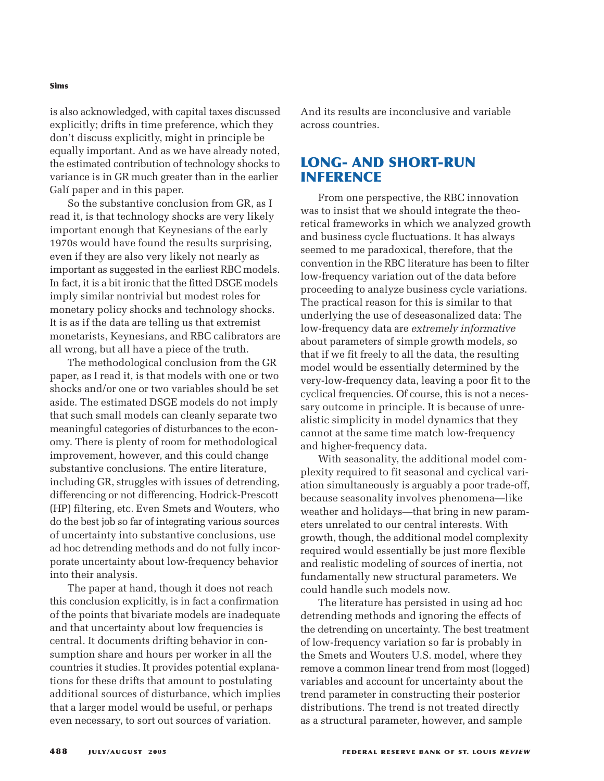is also acknowledged, with capital taxes discussed explicitly; drifts in time preference, which they don't discuss explicitly, might in principle be equally important. And as we have already noted, the estimated contribution of technology shocks to variance is in GR much greater than in the earlier Galí paper and in this paper.

So the substantive conclusion from GR, as I read it, is that technology shocks are very likely important enough that Keynesians of the early 1970s would have found the results surprising, even if they are also very likely not nearly as important as suggested in the earliest RBC models. In fact, it is a bit ironic that the fitted DSGE models imply similar nontrivial but modest roles for monetary policy shocks and technology shocks. It is as if the data are telling us that extremist monetarists, Keynesians, and RBC calibrators are all wrong, but all have a piece of the truth.

The methodological conclusion from the GR paper, as I read it, is that models with one or two shocks and/or one or two variables should be set aside. The estimated DSGE models do not imply that such small models can cleanly separate two meaningful categories of disturbances to the economy. There is plenty of room for methodological improvement, however, and this could change substantive conclusions. The entire literature, including GR, struggles with issues of detrending, differencing or not differencing, Hodrick-Prescott (HP) filtering, etc. Even Smets and Wouters, who do the best job so far of integrating various sources of uncertainty into substantive conclusions, use ad hoc detrending methods and do not fully incorporate uncertainty about low-frequency behavior into their analysis.

The paper at hand, though it does not reach this conclusion explicitly, is in fact a confirmation of the points that bivariate models are inadequate and that uncertainty about low frequencies is central. It documents drifting behavior in consumption share and hours per worker in all the countries it studies. It provides potential explanations for these drifts that amount to postulating additional sources of disturbance, which implies that a larger model would be useful, or perhaps even necessary, to sort out sources of variation.

And its results are inconclusive and variable across countries.

# **LONG- AND SHORT-RUN INFERENCE**

From one perspective, the RBC innovation was to insist that we should integrate the theoretical frameworks in which we analyzed growth and business cycle fluctuations. It has always seemed to me paradoxical, therefore, that the convention in the RBC literature has been to filter low-frequency variation out of the data before proceeding to analyze business cycle variations. The practical reason for this is similar to that underlying the use of deseasonalized data: The low-frequency data are *extremely informative* about parameters of simple growth models, so that if we fit freely to all the data, the resulting model would be essentially determined by the very-low-frequency data, leaving a poor fit to the cyclical frequencies. Of course, this is not a necessary outcome in principle. It is because of unrealistic simplicity in model dynamics that they cannot at the same time match low-frequency and higher-frequency data.

With seasonality, the additional model complexity required to fit seasonal and cyclical variation simultaneously is arguably a poor trade-off, because seasonality involves phenomena—like weather and holidays—that bring in new parameters unrelated to our central interests. With growth, though, the additional model complexity required would essentially be just more flexible and realistic modeling of sources of inertia, not fundamentally new structural parameters. We could handle such models now.

The literature has persisted in using ad hoc detrending methods and ignoring the effects of the detrending on uncertainty. The best treatment of low-frequency variation so far is probably in the Smets and Wouters U.S. model, where they remove a common linear trend from most (logged) variables and account for uncertainty about the trend parameter in constructing their posterior distributions. The trend is not treated directly as a structural parameter, however, and sample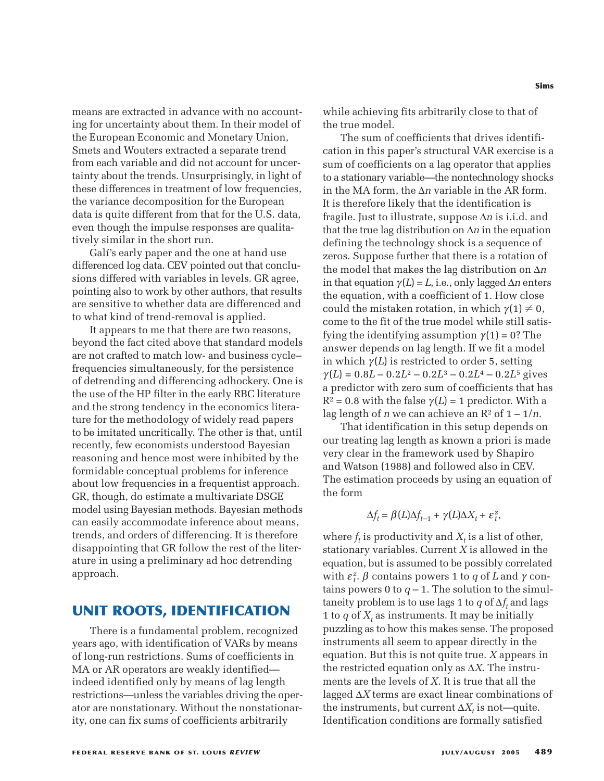means are extracted in advance with no accounting for uncertainty about them. In their model of the European Economic and Monetary Union, Smets and Wouters extracted a separate trend from each variable and did not account for uncertainty about the trends. Unsurprisingly, in light of these differences in treatment of low frequencies, the variance decomposition for the European data is quite different from that for the U.S. data, even though the impulse responses are qualitatively similar in the short run.

Galí's early paper and the one at hand use differenced log data. CEV pointed out that conclusions differed with variables in levels. GR agree, pointing also to work by other authors, that results are sensitive to whether data are differenced and to what kind of trend-removal is applied.

It appears to me that there are two reasons, beyond the fact cited above that standard models are not crafted to match low- and business cycle– frequencies simultaneously, for the persistence of detrending and differencing adhockery. One is the use of the HP filter in the early RBC literature and the strong tendency in the economics literature for the methodology of widely read papers to be imitated uncritically. The other is that, until recently, few economists understood Bayesian reasoning and hence most were inhibited by the formidable conceptual problems for inference about low frequencies in a frequentist approach. GR, though, do estimate a multivariate DSGE model using Bayesian methods. Bayesian methods can easily accommodate inference about means, trends, and orders of differencing. It is therefore disappointing that GR follow the rest of the literature in using a preliminary ad hoc detrending approach.

## **UNIT ROOTS, IDENTIFICATION**

There is a fundamental problem, recognized years ago, with identification of VARs by means of long-run restrictions. Sums of coefficients in MA or AR operators are weakly identified indeed identified only by means of lag length restrictions—unless the variables driving the operator are nonstationary. Without the nonstationarity, one can fix sums of coefficients arbitrarily

**Sims**

while achieving fits arbitrarily close to that of the true model.

The sum of coefficients that drives identification in this paper's structural VAR exercise is a sum of coefficients on a lag operator that applies to a stationary variable—the nontechnology shocks in the MA form, the ∆*n* variable in the AR form. It is therefore likely that the identification is fragile. Just to illustrate, suppose ∆*n* is i.i.d. and that the true lag distribution on ∆*n* in the equation defining the technology shock is a sequence of zeros. Suppose further that there is a rotation of the model that makes the lag distribution on ∆*n* in that equation  $\gamma(L) = L$ , i.e., only lagged  $\Delta n$  enters the equation, with a coefficient of 1. How close could the mistaken rotation, in which  $\gamma(1) \neq 0$ , come to the fit of the true model while still satisfying the identifying assumption  $\gamma(1) = 0$ ? The answer depends on lag length. If we fit a model in which  $\gamma(L)$  is restricted to order 5, setting  $\gamma(L) = 0.8L - 0.2L^2 - 0.2L^3 - 0.2L^4 - 0.2L^5$  gives a predictor with zero sum of coefficients that has  $R^2 = 0.8$  with the false  $\gamma(L) = 1$  predictor. With a lag length of *n* we can achieve an  $\mathbb{R}^2$  of  $1 - 1/n$ .

That identification in this setup depends on our treating lag length as known a priori is made very clear in the framework used by Shapiro and Watson (1988) and followed also in CEV. The estimation proceeds by using an equation of the form

$$
\Delta f_t = \beta(L)\Delta f_{t-1} + \gamma(L)\Delta X_t + \varepsilon_t^z,
$$

where  $f_t$  is productivity and  $X_t$  is a list of other, stationary variables. Current *X* is allowed in the equation, but is assumed to be possibly correlated with  $\varepsilon_t^z$ .  $\beta$  contains powers 1 to  $q$  of  $L$  and  $\gamma$  contains powers 0 to  $q-1$ . The solution to the simultaneity problem is to use lags 1 to *q* of  $\Delta f_t$  and lags 1 to  $q$  of  $X_t$  as instruments. It may be initially puzzling as to how this makes sense. The proposed instruments all seem to appear directly in the equation. But this is not quite true. *X* appears in the restricted equation only as ∆*X*. The instruments are the levels of *X*. It is true that all the lagged ∆*X* terms are exact linear combinations of the instruments, but current  $\Delta X_t$  is not—quite. Identification conditions are formally satisfied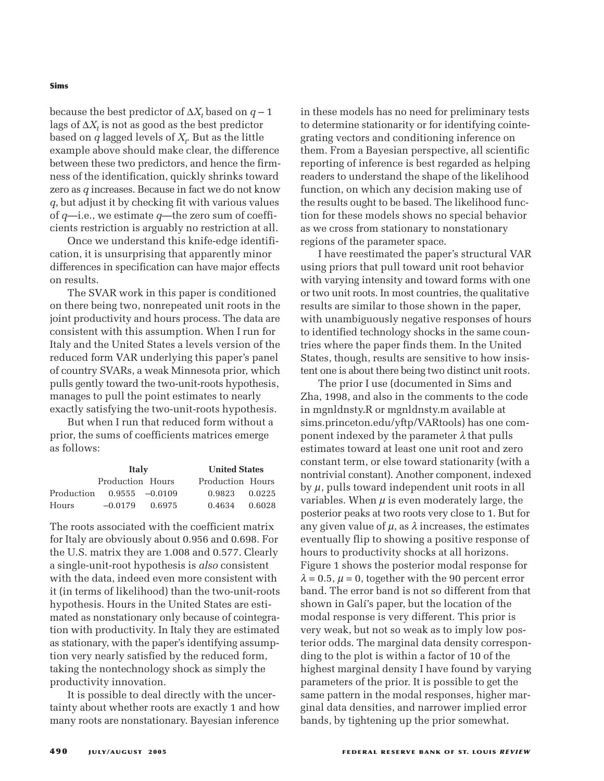#### **Sims**

because the best predictor of  $\Delta X_t$  based on  $q-1$ lags of  $\Delta X_t$  is not as good as the best predictor based on  $q$  lagged levels of  $X_t$ . But as the little example above should make clear, the difference between these two predictors, and hence the firmness of the identification, quickly shrinks toward zero as *q* increases. Because in fact we do not know *q*, but adjust it by checking fit with various values of *q*—i.e., we estimate *q*—the zero sum of coefficients restriction is arguably no restriction at all.

Once we understand this knife-edge identification, it is unsurprising that apparently minor differences in specification can have major effects on results.

The SVAR work in this paper is conditioned on there being two, nonrepeated unit roots in the joint productivity and hours process. The data are consistent with this assumption. When I run for Italy and the United States a levels version of the reduced form VAR underlying this paper's panel of country SVARs, a weak Minnesota prior, which pulls gently toward the two-unit-roots hypothesis, manages to pull the point estimates to nearly exactly satisfying the two-unit-roots hypothesis.

But when I run that reduced form without a prior, the sums of coefficients matrices emerge as follows:

|                              | Italy            |        | <b>United States</b> |        |
|------------------------------|------------------|--------|----------------------|--------|
|                              | Production Hours |        | Production Hours     |        |
| Production $0.9555 - 0.0109$ |                  |        | 0.9823               | 0.0225 |
| <b>Hours</b>                 | $-0.0179$        | 0.6975 | 0.4634               | 0.6028 |

The roots associated with the coefficient matrix for Italy are obviously about 0.956 and 0.698. For the U.S. matrix they are 1.008 and 0.577. Clearly a single-unit-root hypothesis is *also* consistent with the data, indeed even more consistent with it (in terms of likelihood) than the two-unit-roots hypothesis. Hours in the United States are estimated as nonstationary only because of cointegration with productivity. In Italy they are estimated as stationary, with the paper's identifying assumption very nearly satisfied by the reduced form, taking the nontechnology shock as simply the productivity innovation.

It is possible to deal directly with the uncertainty about whether roots are exactly 1 and how many roots are nonstationary. Bayesian inference

in these models has no need for preliminary tests to determine stationarity or for identifying cointegrating vectors and conditioning inference on them. From a Bayesian perspective, all scientific reporting of inference is best regarded as helping readers to understand the shape of the likelihood function, on which any decision making use of the results ought to be based. The likelihood function for these models shows no special behavior as we cross from stationary to nonstationary regions of the parameter space.

I have reestimated the paper's structural VAR using priors that pull toward unit root behavior with varying intensity and toward forms with one or two unit roots. In most countries, the qualitative results are similar to those shown in the paper, with unambiguously negative responses of hours to identified technology shocks in the same countries where the paper finds them. In the United States, though, results are sensitive to how insistent one is about there being two distinct unit roots.

The prior I use (documented in Sims and Zha, 1998, and also in the comments to the code in mgnldnsty.R or mgnldnsty.m available at sims.princeton.edu/yftp/VARtools) has one component indexed by the parameter  $\lambda$  that pulls estimates toward at least one unit root and zero constant term, or else toward stationarity (with a nontrivial constant). Another component, indexed by  $\mu$ , pulls toward independent unit roots in all variables. When  $\mu$  is even moderately large, the posterior peaks at two roots very close to 1. But for any given value of  $\mu$ , as  $\lambda$  increases, the estimates eventually flip to showing a positive response of hours to productivity shocks at all horizons. Figure 1 shows the posterior modal response for  $\lambda = 0.5$ ,  $\mu = 0$ , together with the 90 percent error band. The error band is not so different from that shown in Galí's paper, but the location of the modal response is very different. This prior is very weak, but not so weak as to imply low posterior odds. The marginal data density corresponding to the plot is within a factor of 10 of the highest marginal density I have found by varying parameters of the prior. It is possible to get the same pattern in the modal responses, higher marginal data densities, and narrower implied error bands, by tightening up the prior somewhat.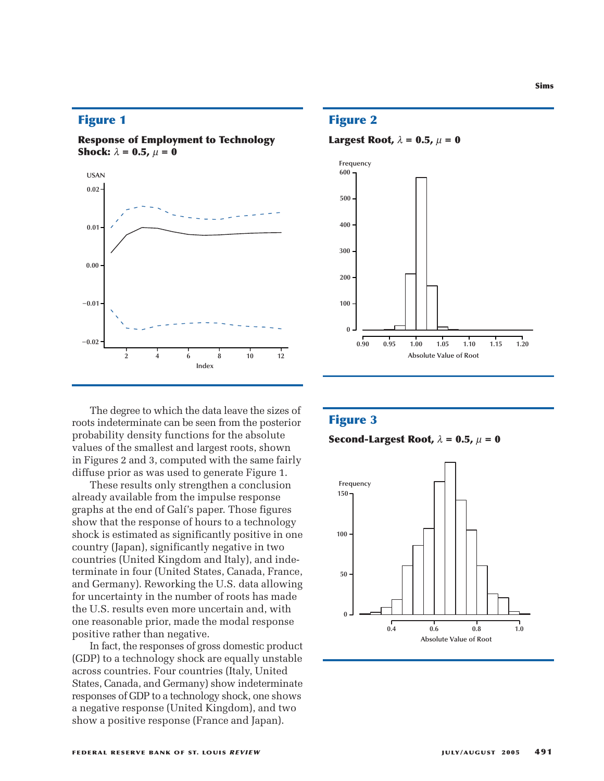### **Figure 1**

**Response of Employment to Technology Shock:**  $\lambda = 0.5$ ,  $\mu = 0$ 



The degree to which the data leave the sizes of roots indeterminate can be seen from the posterior probability density functions for the absolute values of the smallest and largest roots, shown in Figures 2 and 3, computed with the same fairly diffuse prior as was used to generate Figure 1.

These results only strengthen a conclusion already available from the impulse response graphs at the end of Galí's paper. Those figures show that the response of hours to a technology shock is estimated as significantly positive in one country (Japan), significantly negative in two countries (United Kingdom and Italy), and indeterminate in four (United States, Canada, France, and Germany). Reworking the U.S. data allowing for uncertainty in the number of roots has made the U.S. results even more uncertain and, with one reasonable prior, made the modal response positive rather than negative.

In fact, the responses of gross domestic product (GDP) to a technology shock are equally unstable across countries. Four countries (Italy, United States, Canada, and Germany) show indeterminate responses of GDP to a technology shock, one shows a negative response (United Kingdom), and two show a positive response (France and Japan).

## **Figure 2**

**Largest Root,**  $\lambda = 0.5$ ,  $\mu = 0$ 



#### **Figure 3**

**Second-Largest Root,**  $\lambda = 0.5$ ,  $\mu = 0$